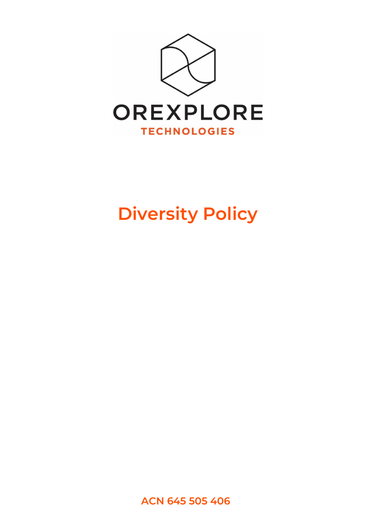

# **Diversity Policy**

**ACN 645 505 406**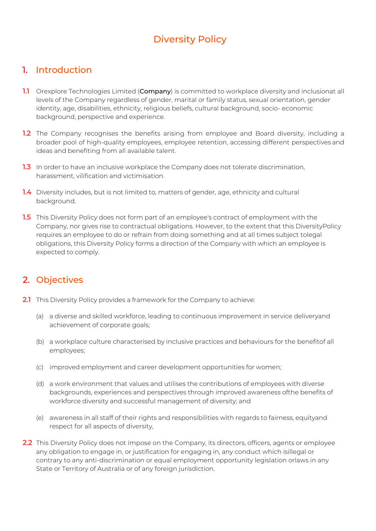## Diversity Policy

#### 1. Introduction

- 1.1 Orexplore Technologies Limited (Company) is committed to workplace diversity and inclusionat all levels of the Company regardless of gender, marital or family status, sexual orientation, gender identity, age, disabilities, ethnicity, religious beliefs, cultural background, socio- economic background, perspective and experience.
- **1.2** The Company recognises the benefits arising from employee and Board diversity, including a broader pool of high-quality employees, employee retention, accessing different perspectives and ideas and benefiting from all available talent.
- 1.3 In order to have an inclusive workplace the Company does not tolerate discrimination, harassment, vilification and victimisation.
- 1.4 Diversity includes, but is not limited to, matters of gender, age, ethnicity and cultural background.
- **1.5** This Diversity Policy does not form part of an employee's contract of employment with the Company, nor gives rise to contractual obligations. However, to the extent that this DiversityPolicy requires an employee to do or refrain from doing something and at all times subject tolegal obligations, this Diversity Policy forms a direction of the Company with which an employee is expected to comply.

### 2. Objectives

- 2.1 This Diversity Policy provides a framework for the Company to achieve:
	- (a) a diverse and skilled workforce, leading to continuous improvement in service deliveryand achievement of corporate goals;
	- (b) a workplace culture characterised by inclusive practices and behaviours for the benefitof all employees;
	- (c) improved employment and career development opportunities for women;
	- (d) a work environment that values and utilises the contributions of employees with diverse backgrounds, experiences and perspectives through improved awareness ofthe benefits of workforce diversity and successful management of diversity; and
	- (e) awareness in all staff of their rights and responsibilities with regards to fairness, equityand respect for all aspects of diversity,
- 2.2 This Diversity Policy does not impose on the Company, its directors, officers, agents or employee any obligation to engage in, or justification for engaging in, any conduct which isillegal or contrary to any anti-discrimination or equal employment opportunity legislation orlaws in any State or Territory of Australia or of any foreign jurisdiction.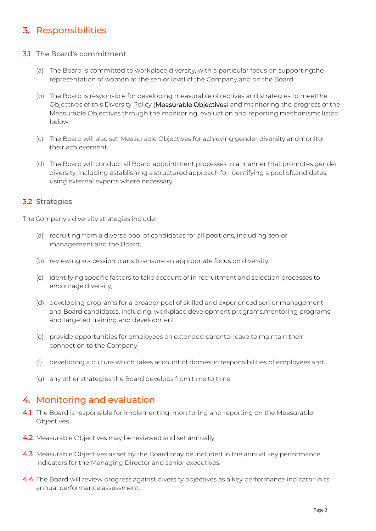## 3. Responsibilities

#### 3.1 The Board's commitment

- (a) The Board is committed to workplace diversity, with a particular focus on supportingthe representation of women at the senior level of the Company and on the Board.
- (b) The Board is responsible for developing measurable objectives and strategies to meetthe Objectives of this Diversity Policy (Measurable Objectives) and monitoring the progress of the Measurable Objectives through the monitoring, evaluation and reporting mechanisms listed below.
- (c) The Board will also set Measurable Objectives for achieving gender diversity andmonitor their achievement.
- (d) The Board will conduct all Board appointment processes in a manner that promotes gender diversity, including establishing a structured approach for identifying a pool ofcandidates, using external experts where necessary.

#### 3.2 Strategies

The Company's diversity strategies include:

- (a) recruiting from a diverse pool of candidates for all positions, including senior management and the Board;
- (b) reviewing succession plans to ensure an appropriate focus on diversity;
- (c) identifying specific factors to take account of in recruitment and selection processes to encourage diversity;
- (d) developing programs for a broader pool of skilled and experienced senior management and Board candidates, including, workplace development programs,mentoring programs and targeted training and development;
- (e) provide opportunities for employees on extended parental leave to maintain their connection to the Company;
- (f) developing a culture which takes account of domestic responsibilities of employees;and
- (g) any other strategies the Board develops from time to time.

#### 4. Monitoring and evaluation

- 4.1 The Board is responsible for implementing, monitoring and reporting on the Measurable Objectives.
- 4.2 Measurable Objectives may be reviewed and set annually;
- 4.3 Measurable Objectives as set by the Board may be included in the annual key performance indicators for the Managing Director and senior executives.
- 4.4 The Board will review progress against diversity objectives as a key performance indicator inits annual performance assessment.